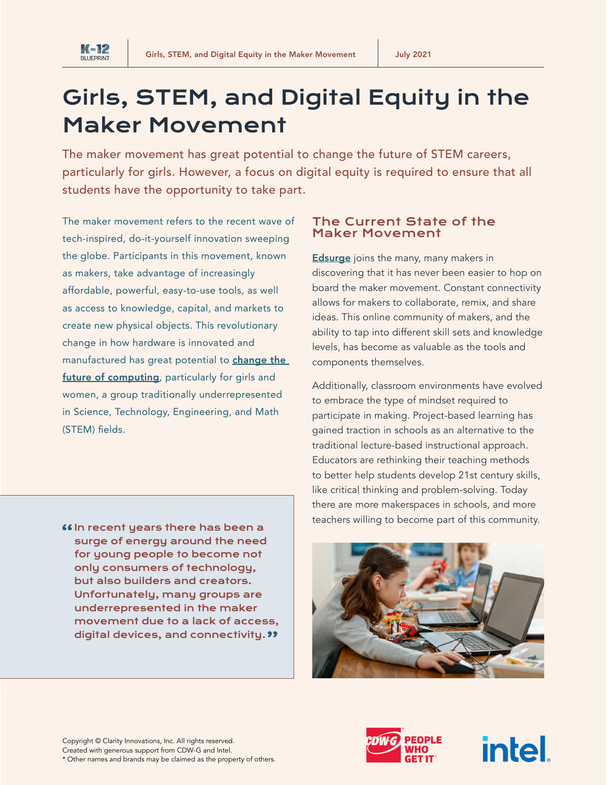

# Girls, STEM, and Digital Equity in the Maker Movement

The maker movement has great potential to change the future of STEM careers, particularly for girls. However, a focus on digital equity is required to ensure that all students have the opportunity to take part.

The maker movement refers to the recent wave of tech-inspired, do-it-yourself innovation sweeping the globe. Participants in this movement, known as makers, take advantage of increasingly affordable, powerful, easy-to-use tools, as well as access to knowledge, capital, and markets to create new physical objects. This revolutionary change in how hardware is innovated and manufactured has great potential to **change the** [future of computing](https://www.intel.com/content/dam/www/public/us/en/documents/reports/makers-report-girls-women-exec-summary.pdf), particularly for girls and women, a group traditionally underrepresented in Science, Technology, Engineering, and Math (STEM) fields.

66 In recent years there has been a surge of energy around the need for young people to become not only consumers of technology, but also builders and creators. Unfortunately, many groups are underrepresented in the maker movement due to a lack of access, digital devices, and connectivity. "

#### The Current State of the Maker Movement

**[Edsurge](https://www.edsurge.com/research/guides/what-s-next-for-maker-education)** joins the many, many makers in discovering that it has never been easier to hop on board the maker movement. Constant connectivity allows for makers to collaborate, remix, and share ideas. This online community of makers, and the ability to tap into different skill sets and knowledge levels, has become as valuable as the tools and components themselves.

Additionally, classroom environments have evolved to embrace the type of mindset required to participate in making. Project-based learning has gained traction in schools as an alternative to the traditional lecture-based instructional approach. Educators are rethinking their teaching methods to better help students develop 21st century skills, like critical thinking and problem-solving. Today there are more makerspaces in schools, and more teachers willing to become part of this community.





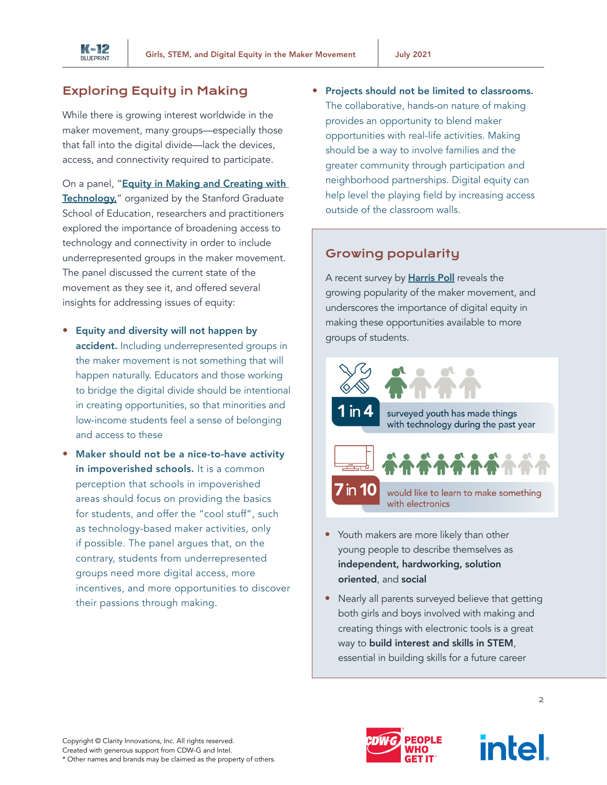

# Exploring Equity in Making

While there is growing interest worldwide in the maker movement, many groups—especially those that fall into the digital divide—lack the devices, access, and connectivity required to participate.

On a panel, "Equity in Making and Creating with [Technology,](http://edfequity.stanford.edu/schedule/week-7-equity-making-and-creating-technology)" organized by the Stanford Graduate School of Education, researchers and practitioners explored the importance of broadening access to technology and connectivity in order to include underrepresented groups in the maker movement. The panel discussed the current state of the movement as they see it, and offered several insights for addressing issues of equity:

- Equity and diversity will not happen by accident. Including underrepresented groups in the maker movement is not something that will happen naturally. Educators and those working to bridge the digital divide should be intentional in creating opportunities, so that minorities and low-income students feel a sense of belonging and access to these
- Maker should not be a nice-to-have activity in impoverished schools. It is a common perception that schools in impoverished areas should focus on providing the basics for students, and offer the "cool stuff", such as technology-based maker activities, only if possible. The panel argues that, on the contrary, students from underrepresented groups need more digital access, more incentives, and more opportunities to discover their passions through making.

• Projects should not be limited to classrooms. The collaborative, hands-on nature of making provides an opportunity to blend maker opportunities with real-life activities. Making should be a way to involve families and the greater community through participation and neighborhood partnerships. Digital equity can help level the playing field by increasing access outside of the classroom walls.

# Growing popularity

A recent survey by [Harris Poll](https://www.intel.com/content/dam/www/public/us/en/documents/reports/makers-report-girls-women-exec-summary.pdf) reveals the growing popularity of the maker movement, and underscores the importance of digital equity in making these opportunities available to more groups of students.



- Youth makers are more likely than other young people to describe themselves as independent, hardworking, solution oriented, and social
- Nearly all parents surveyed believe that getting both girls and boys involved with making and creating things with electronic tools is a great way to build interest and skills in STEM, essential in building skills for a future career